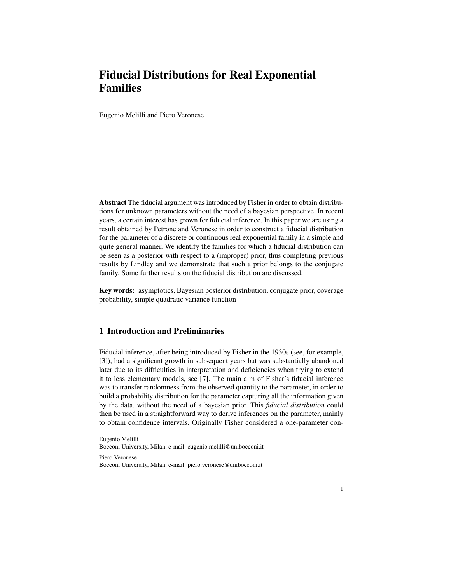# Fiducial Distributions for Real Exponential Families

Eugenio Melilli and Piero Veronese

Abstract The fiducial argument was introduced by Fisher in order to obtain distributions for unknown parameters without the need of a bayesian perspective. In recent years, a certain interest has grown for fiducial inference. In this paper we are using a result obtained by Petrone and Veronese in order to construct a fiducial distribution for the parameter of a discrete or continuous real exponential family in a simple and quite general manner. We identify the families for which a fiducial distribution can be seen as a posterior with respect to a (improper) prior, thus completing previous results by Lindley and we demonstrate that such a prior belongs to the conjugate family. Some further results on the fiducial distribution are discussed.

Key words: asymptotics, Bayesian posterior distribution, conjugate prior, coverage probability, simple quadratic variance function

# 1 Introduction and Preliminaries

Fiducial inference, after being introduced by Fisher in the 1930s (see, for example, [3]), had a significant growth in subsequent years but was substantially abandoned later due to its difficulties in interpretation and deficiencies when trying to extend it to less elementary models, see [7]. The main aim of Fisher's fiducial inference was to transfer randomness from the observed quantity to the parameter, in order to build a probability distribution for the parameter capturing all the information given by the data, without the need of a bayesian prior. This *fiducial distribution* could then be used in a straightforward way to derive inferences on the parameter, mainly to obtain confidence intervals. Originally Fisher considered a one-parameter con-

Piero Veronese

Eugenio Melilli

Bocconi University, Milan, e-mail: eugenio.melilli@unibocconi.it

Bocconi University, Milan, e-mail: piero.veronese@unibocconi.it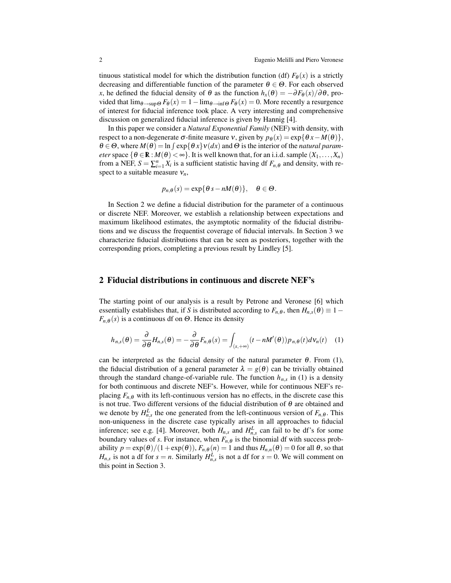tinuous statistical model for which the distribution function (df)  $F_{\theta}(x)$  is a strictly decreasing and differentiable function of the parameter  $\theta \in \Theta$ . For each observed *x*, he defined the fiducial density of  $\theta$  as the function  $h_x(\theta) = -\partial F_\theta(x)/\partial \theta$ , provided that  $\lim_{\theta \to \sup} F_{\theta}(x) = 1 - \lim_{\theta \to \inf} F_{\theta}(x) = 0$ . More recently a resurgence of interest for fiducial inference took place. A very interesting and comprehensive discussion on generalized fiducial inference is given by Hannig [4].

In this paper we consider a *Natural Exponential Family* (NEF) with density, with respect to a non-degenerate  $\sigma$ -finite measure v, given by  $p_{\theta}(x) = \exp{\theta x - M(\theta)}$ ,  $\theta \in \Theta$ , where  $M(\theta) = \ln \int \exp\{\theta x\}v(dx)$  and  $\Theta$  is the interior of the *natural parameter* space  $\{\theta \in \mathbb{R} : M(\theta) < \infty\}$ . It is well known that, for an i.i.d. sample  $(X_1, \ldots, X_n)$ from a NEF,  $S = \sum_{i=1}^{n} X_i$  is a sufficient statistic having df  $F_{n,\theta}$  and density, with respect to a suitable measure ν*n*,

$$
p_{n,\theta}(s) = \exp\{\theta s - nM(\theta)\}, \quad \theta \in \Theta.
$$

In Section 2 we define a fiducial distribution for the parameter of a continuous or discrete NEF. Moreover, we establish a relationship between expectations and maximum likelihood estimates, the asymptotic normality of the fiducial distributions and we discuss the frequentist coverage of fiducial intervals. In Section 3 we characterize fiducial distributions that can be seen as posteriors, together with the corresponding priors, completing a previous result by Lindley [5].

#### 2 Fiducial distributions in continuous and discrete NEF's

The starting point of our analysis is a result by Petrone and Veronese [6] which essentially establishes that, if *S* is distributed according to  $F_{n,\theta}$ , then  $H_{n,s}(\theta) \equiv 1-\theta$  $F_{n,\theta}(s)$  is a continuous df on  $\Theta$ . Hence its density

$$
h_{n,s}(\theta) = \frac{\partial}{\partial \theta} H_{n,s}(\theta) = -\frac{\partial}{\partial \theta} F_{n,\theta}(s) = \int_{(s,+\infty)} (t - nM'(\theta)) p_{n,\theta}(t) d\mathsf{v}_n(t) \quad (1)
$$

can be interpreted as the fiducial density of the natural parameter  $\theta$ . From (1), the fiducial distribution of a general parameter  $\lambda = g(\theta)$  can be trivially obtained through the standard change-of-variable rule. The function  $h_{n,s}$  in (1) is a density for both continuous and discrete NEF's. However, while for continuous NEF's replacing  $F_{n,\theta}$  with its left-continuous version has no effects, in the discrete case this is not true. Two different versions of the fiducial distribution of  $\theta$  are obtained and we denote by  $H_{n,s}^L$  the one generated from the left-continuous version of  $F_{n,\theta}$ . This non-uniqueness in the discrete case typically arises in all approaches to fiducial inference; see e.g. [4]. Moreover, both  $H_{n,s}$  and  $H_{n,s}^L$  can fail to be df's for some boundary values of *s*. For instance, when  $F_{n,\theta}$  is the binomial df with success probability  $p = \exp(\theta)/(1 + \exp(\theta))$ ,  $F_{n,\theta}(n) = 1$  and thus  $H_{n,n}(\theta) = 0$  for all  $\theta$ , so that *H*<sub>*n*,*s*</sub> is not a df for  $s = n$ . Similarly  $H_{n,s}^L$  is not a df for  $s = 0$ . We will comment on this point in Section 3.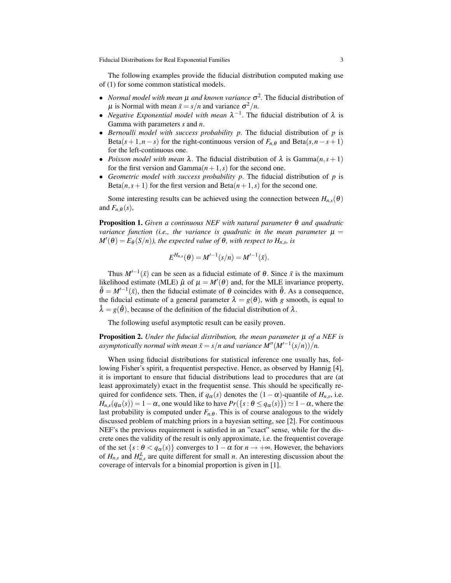The following examples provide the fiducial distribution computed making use of (1) for some common statistical models.

- *Normal model with mean*  $\mu$  *and known variance*  $\sigma^2$ . The fiducial distribution of  $\mu$  is Normal with mean  $\bar{x} = s/n$  and variance  $\sigma^2/n$ .
- *Negative Exponential model with mean*  $\lambda^{-1}$ . The fiducial distribution of  $\lambda$  is Gamma with parameters *s* and *n*.
- *Bernoulli model with success probability p*. The fiducial distribution of *p* is Beta( $s + 1, n - s$ ) for the right-continuous version of  $F_{n,\theta}$  and Beta( $s, n - s + 1$ ) for the left-continuous one.
- *Poisson model with mean*  $\lambda$ . The fiducial distribution of  $\lambda$  is Gamma $(n, s + 1)$ for the first version and Gamma $(n+1,s)$  for the second one.
- *Geometric model with success probability p*. The fiducial distribution of *p* is Beta( $n, s+1$ ) for the first version and Beta( $n+1, s$ ) for the second one.

Some interesting results can be achieved using the connection between  $H_{n,s}(\theta)$ and  $F_{n,\theta}(s)$ ,

Proposition 1. *Given a continuous NEF with natural parameter* θ *and quadratic variance function (i.e., the variance is quadratic in the mean parameter*  $\mu =$  $M'(\theta) = E_{\theta}(S/n)$ , the expected value of  $\theta$ , with respect to  $H_{n,s}$ , is

$$
E^{H_{n,s}}(\theta) = M'^{-1}(s/n) = M'^{-1}(\bar{x}).
$$

Thus  $M^{-1}(\bar{x})$  can be seen as a fiducial estimate of  $\theta$ . Since  $\bar{x}$  is the maximum likelihood estimate (MLE)  $\hat{\mu}$  of  $\mu = M'(\theta)$  and, for the MLE invariance property,  $\hat{\theta} = M^{(-1)}(\bar{x})$ , then the fiducial estimate of  $\theta$  coincides with  $\hat{\theta}$ . As a consequence, the fiducial estimate of a general parameter  $\lambda = g(\theta)$ , with *g* smooth, is equal to  $\hat{\lambda} = g(\hat{\theta})$ , because of the definition of the fiducial distribution of  $\lambda$ .

The following useful asymptotic result can be easily proven.

Proposition 2. *Under the fiducial distribution, the mean parameter*  $\mu$  *of a NEF is*  $a$ symptotically normal with mean  $\bar{x} = s/n$  and variance  $M''(M'^{-1}(s/n))/n$ .

When using fiducial distributions for statistical inference one usually has, following Fisher's spirit, a frequentist perspective. Hence, as observed by Hannig [4], it is important to ensure that fiducial distributions lead to procedures that are (at least approximately) exact in the frequentist sense. This should be specifically required for confidence sets. Then, if  $q_{\alpha}(s)$  denotes the  $(1 - \alpha)$ -quantile of  $H_{n,s}$ , i.e.  $H_{n,s}(q_\alpha(s)) = 1 - \alpha$ , one would like to have  $Pr({s : \theta \leq q_\alpha(s)}) \geq 1 - \alpha$ , where the last probability is computed under  $F_{n,\theta}$ . This is of course analogous to the widely discussed problem of matching priors in a bayesian setting, see [2]. For continuous NEF's the previous requirement is satisfied in an "exact" sense, while for the discrete ones the validity of the result is only approximate, i.e. the frequentist coverage of the set  $\{s : \theta < q_\alpha(s)\}$  converges to  $1 - \alpha$  for  $n \to +\infty$ . However, the behaviors of  $H_{n,s}$  and  $H_{n,s}^L$  are quite different for small *n*. An interesting discussion about the coverage of intervals for a binomial proportion is given in [1].